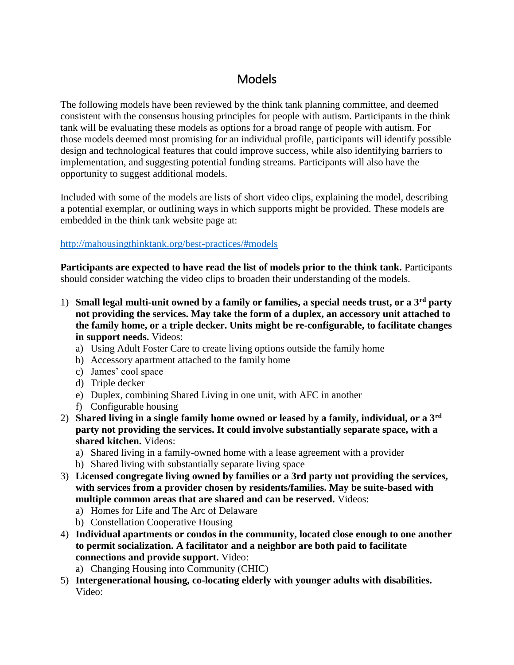## **Models**

The following models have been reviewed by the think tank planning committee, and deemed consistent with the consensus housing principles for people with autism. Participants in the think tank will be evaluating these models as options for a broad range of people with autism. For those models deemed most promising for an individual profile, participants will identify possible design and technological features that could improve success, while also identifying barriers to implementation, and suggesting potential funding streams. Participants will also have the opportunity to suggest additional models.

Included with some of the models are lists of short video clips, explaining the model, describing a potential exemplar, or outlining ways in which supports might be provided. These models are embedded in the think tank website page at:

## <http://mahousingthinktank.org/best-practices/#models>

**Participants are expected to have read the list of models prior to the think tank.** Participants should consider watching the video clips to broaden their understanding of the models.

- 1) **Small legal multi-unit owned by a family or families, a special needs trust, or a 3rd party not providing the services. May take the form of a duplex, an accessory unit attached to the family home, or a triple decker. Units might be re-configurable, to facilitate changes in support needs.** Videos:
	- a) Using Adult Foster Care to create living options outside the family home
	- b) Accessory apartment attached to the family home
	- c) James' cool space
	- d) Triple decker
	- e) Duplex, combining Shared Living in one unit, with AFC in another
	- f) Configurable housing
- 2) **Shared living in a single family home owned or leased by a family, individual, or a 3rd party not providing the services. It could involve substantially separate space, with a shared kitchen.** Videos:
	- a) Shared living in a family-owned home with a lease agreement with a provider
	- b) Shared living with substantially separate living space
- 3) **Licensed congregate living owned by families or a 3rd party not providing the services, with services from a provider chosen by residents/families. May be suite-based with multiple common areas that are shared and can be reserved.** Videos:
	- a) Homes for Life and The Arc of Delaware
	- b) Constellation Cooperative Housing
- 4) **Individual apartments or condos in the community, located close enough to one another to permit socialization. A facilitator and a neighbor are both paid to facilitate connections and provide support.** Video:
	- a) Changing Housing into Community (CHIC)
- 5) **Intergenerational housing, co-locating elderly with younger adults with disabilities.** Video: